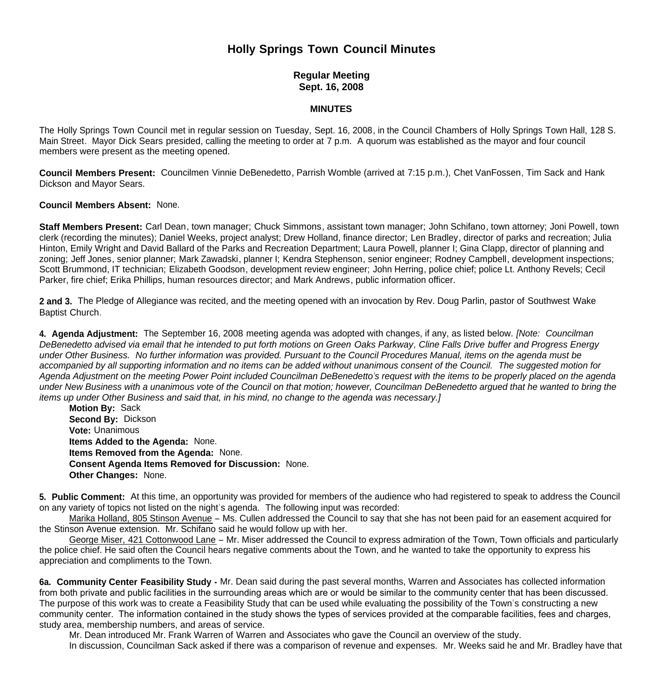## **Holly Springs Town Council Minutes**

**Regular Meeting Sept. 16, 2008**

## **MINUTES**

The Holly Springs Town Council met in regular session on Tuesday, Sept. 16, 2008, in the Council Chambers of Holly Springs Town Hall, 128 S. Main Street. Mayor Dick Sears presided, calling the meeting to order at 7 p.m. A quorum was established as the mayor and four council members were present as the meeting opened.

**Council Members Present:** Councilmen Vinnie DeBenedetto, Parrish Womble (arrived at 7:15 p.m.), Chet VanFossen, Tim Sack and Hank Dickson and Mayor Sears.

## **Council Members Absent:** None.

**Staff Members Present:** Carl Dean, town manager; Chuck Simmons, assistant town manager; John Schifano, town attorney; Joni Powell, town clerk (recording the minutes); Daniel Weeks, project analyst; Drew Holland, finance director; Len Bradley, director of parks and recreation; Julia Hinton, Emily Wright and David Ballard of the Parks and Recreation Department; Laura Powell, planner I; Gina Clapp, director of planning and zoning; Jeff Jones, senior planner; Mark Zawadski, planner I; Kendra Stephenson, senior engineer; Rodney Campbell, development inspections; Scott Brummond, IT technician; Elizabeth Goodson, development review engineer; John Herring, police chief; police Lt. Anthony Revels; Cecil Parker, fire chief; Erika Phillips, human resources director; and Mark Andrews, public information officer.

**2 and 3.** The Pledge of Allegiance was recited, and the meeting opened with an invocation by Rev. Doug Parlin, pastor of Southwest Wake Baptist Church.

**4. Agenda Adjustment:** The September 16, 2008 meeting agenda was adopted with changes, if any, as listed below. *[Note: Councilman DeBenedetto advised via email that he intended to put forth motions on Green Oaks Parkway, Cline Falls Drive buffer and Progress Energy under Other Business. No further information was provided. Pursuant to the Council Procedures Manual, items on the agenda must be accompanied by all supporting information and no items can be added without unanimous consent of the Council. The suggested motion for Agenda Adjustment on the meeting Power Point included Councilman DeBenedetto's request with the items to be properly placed on the agenda under New Business with a unanimous vote of the Council on that motion; however, Councilman DeBenedetto argued that he wanted to bring the items up under Other Business and said that, in his mind, no change to the agenda was necessary.]*

**Motion By: Sack Second By:** Dickson **Vote:** Unanimous **Items Added to the Agenda:** None. **Items Removed from the Agenda:** None. **Consent Agenda Items Removed for Discussion:** None. **Other Changes:** None.

**5. Public Comment:** At this time, an opportunity was provided for members of the audience who had registered to speak to address the Council on any variety of topics not listed on the night's agenda. The following input was recorded:

 Marika Holland, 805 Stinson Avenue – Ms. Cullen addressed the Council to say that she has not been paid for an easement acquired for the Stinson Avenue extension. Mr. Schifano said he would follow up with her.

 George Miser, 421 Cottonwood Lane – Mr. Miser addressed the Council to express admiration of the Town, Town officials and particularly the police chief. He said often the Council hears negative comments about the Town, and he wanted to take the opportunity to express his appreciation and compliments to the Town.

**6a. Community Center Feasibility Study -** Mr. Dean said during the past several months, Warren and Associates has collected information from both private and public facilities in the surrounding areas which are or would be similar to the community center that has been discussed. The purpose of this work was to create a Feasibility Study that can be used while evaluating the possibility of the Town's constructing a new community center. The information contained in the study shows the types of services provided at the comparable facilities, fees and charges, study area, membership numbers, and areas of service.

 Mr. Dean introduced Mr. Frank Warren of Warren and Associates who gave the Council an overview of the study. In discussion, Councilman Sack asked if there was a comparison of revenue and expenses. Mr. Weeks said he and Mr. Bradley have that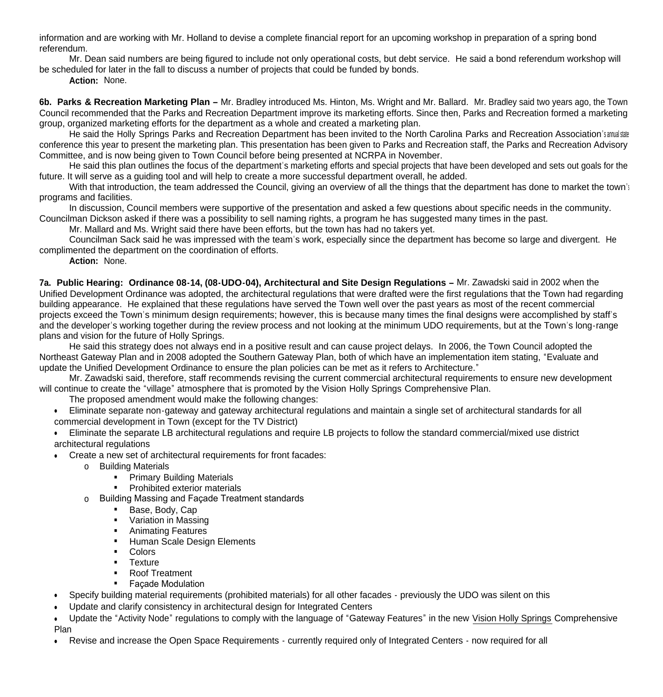information and are working with Mr. Holland to devise a complete financial report for an upcoming workshop in preparation of a spring bond referendum.

 Mr. Dean said numbers are being figured to include not only operational costs, but debt service. He said a bond referendum workshop will be scheduled for later in the fall to discuss a number of projects that could be funded by bonds.

**Action:** None.

**6b. Parks & Recreation Marketing Plan –** Mr. Bradley introduced Ms. Hinton, Ms. Wright and Mr. Ballard. Mr. Bradley said two years ago, the Town Council recommended that the Parks and Recreation Department improve its marketing efforts. Since then, Parks and Recreation formed a marketing group, organized marketing efforts for the department as a whole and created a marketing plan.

He said the Holly Springs Parks and Recreation Department has been invited to the North Carolina Parks and Recreation Association's annual state conference this year to present the marketing plan. This presentation has been given to Parks and Recreation staff, the Parks and Recreation Advisory Committee, and is now being given to Town Council before being presented at NCRPA in November.

 He said this plan outlines the focus of the department's marketing efforts and special projects that have been developed and sets out goals for the future. It will serve as a guiding tool and will help to create a more successful department overall, he added.

With that introduction, the team addressed the Council, giving an overview of all the things that the department has done to market the town's programs and facilities.

 In discussion, Council members were supportive of the presentation and asked a few questions about specific needs in the community. Councilman Dickson asked if there was a possibility to sell naming rights, a program he has suggested many times in the past.

Mr. Mallard and Ms. Wright said there have been efforts, but the town has had no takers yet.

Councilman Sack said he was impressed with the team's work, especially since the department has become so large and divergent. He complimented the department on the coordination of efforts.

**Action:** None.

**7a. Public Hearing: Ordinance 08-14, (08-UDO-04), Architectural and Site Design Regulations –** Mr. Zawadski said in 2002 when the Unified Development Ordinance was adopted, the architectural regulations that were drafted were the first regulations that the Town had regarding building appearance. He explained that these regulations have served the Town well over the past years as most of the recent commercial projects exceed the Town's minimum design requirements; however, this is because many times the final designs were accomplished by staff's and the developer's working together during the review process and not looking at the minimum UDO requirements, but at the Town's long-range plans and vision for the future of Holly Springs.

 He said this strategy does not always end in a positive result and can cause project delays. In 2006, the Town Council adopted the Northeast Gateway Plan and in 2008 adopted the Southern Gateway Plan, both of which have an implementation item stating, "Evaluate and update the Unified Development Ordinance to ensure the plan policies can be met as it refers to Architecture."

 Mr. Zawadski said, therefore, staff recommends revising the current commercial architectural requirements to ensure new development will continue to create the "village" atmosphere that is promoted by the Vision Holly Springs Comprehensive Plan.

The proposed amendment would make the following changes:

 Eliminate separate non-gateway and gateway architectural regulations and maintain a single set of architectural standards for all commercial development in Town (except for the TV District)

 Eliminate the separate LB architectural regulations and require LB projects to follow the standard commercial/mixed use district architectural regulations

- Create a new set of architectural requirements for front facades:
	- o Building Materials
		- **Primary Building Materials**
		- **•** Prohibited exterior materials
	- o Building Massing and Façade Treatment standards
		- Base, Body, Cap
		- **•** Variation in Massing
		- **Animating Features**
		- **Human Scale Design Elements**
		- **Colors**
		- **Texture**
		- Roof Treatment
		- **Façade Modulation**
- Specify building material requirements (prohibited materials) for all other facades previously the UDO was silent on this
- Update and clarify consistency in architectural design for Integrated Centers
- Update the "Activity Node" regulations to comply with the language of "Gateway Features" in the new Vision Holly Springs Comprehensive Plan
- Revise and increase the Open Space Requirements currently required only of Integrated Centers now required for all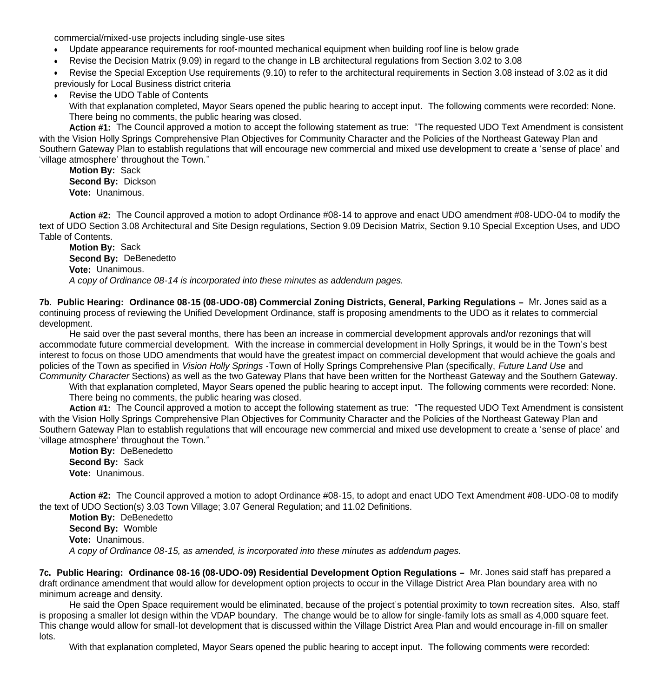commercial/mixed-use projects including single-use sites

- Update appearance requirements for roof-mounted mechanical equipment when building roof line is below grade
- Revise the Decision Matrix (9.09) in regard to the change in LB architectural regulations from Section 3.02 to 3.08

Revise the Special Exception Use requirements (9.10) to refer to the architectural requirements in Section 3.08 instead of 3.02 as it did

previously for Local Business district criteria

Revise the UDO Table of Contents

 With that explanation completed, Mayor Sears opened the public hearing to accept input. The following comments were recorded: None. There being no comments, the public hearing was closed.

**Action #1:** The Council approved a motion to accept the following statement as true: "The requested UDO Text Amendment is consistent with the Vision Holly Springs Comprehensive Plan Objectives for Community Character and the Policies of the Northeast Gateway Plan and Southern Gateway Plan to establish regulations that will encourage new commercial and mixed use development to create a 'sense of place' and 'village atmosphere' throughout the Town."

**Motion By:** Sack **Second By:** Dickson **Vote:** Unanimous.

**Action #2:** The Council approved a motion to adopt Ordinance #08-14 to approve and enact UDO amendment #08-UDO-04 to modify the text of UDO Section 3.08 Architectural and Site Design regulations, Section 9.09 Decision Matrix, Section 9.10 Special Exception Uses, and UDO Table of Contents.

**Motion By:** Sack **Second By:** DeBenedetto **Vote:** Unanimous. *A copy of Ordinance 08-14 is incorporated into these minutes as addendum pages.*

**7b. Public Hearing: Ordinance 08-15 (08-UDO-08) Commercial Zoning Districts, General, Parking Regulations –** Mr. Jones said as a continuing process of reviewing the Unified Development Ordinance, staff is proposing amendments to the UDO as it relates to commercial development.

 He said over the past several months, there has been an increase in commercial development approvals and/or rezonings that will accommodate future commercial development. With the increase in commercial development in Holly Springs, it would be in the Town's best interest to focus on those UDO amendments that would have the greatest impact on commercial development that would achieve the goals and policies of the Town as specified in *Vision Holly Springs* -Town of Holly Springs Comprehensive Plan (specifically, *Future Land Use* and *Community Character* Sections) as well as the two Gateway Plans that have been written for the Northeast Gateway and the Southern Gateway.

With that explanation completed, Mayor Sears opened the public hearing to accept input. The following comments were recorded: None. There being no comments, the public hearing was closed.

**Action #1:** The Council approved a motion to accept the following statement as true: "The requested UDO Text Amendment is consistent with the Vision Holly Springs Comprehensive Plan Objectives for Community Character and the Policies of the Northeast Gateway Plan and Southern Gateway Plan to establish regulations that will encourage new commercial and mixed use development to create a 'sense of place' and 'village atmosphere' throughout the Town."

**Motion By:** DeBenedetto **Second By:** Sack **Vote:** Unanimous.

**Action #2:** The Council approved a motion to adopt Ordinance #08-15, to adopt and enact UDO Text Amendment #08-UDO-08 to modify the text of UDO Section(s) 3.03 Town Village; 3.07 General Regulation; and 11.02 Definitions.

**Motion By:** DeBenedetto **Second By:** Womble **Vote:** Unanimous. *A copy of Ordinance 08-15, as amended, is incorporated into these minutes as addendum pages.*

**7c. Public Hearing: Ordinance 08-16 (08-UDO-09) Residential Development Option Regulations –** Mr. Jones said staff has prepared a draft ordinance amendment that would allow for development option projects to occur in the Village District Area Plan boundary area with no minimum acreage and density.

 He said the Open Space requirement would be eliminated, because of the project's potential proximity to town recreation sites. Also, staff is proposing a smaller lot design within the VDAP boundary. The change would be to allow for single-family lots as small as 4,000 square feet. This change would allow for small-lot development that is discussed within the Village District Area Plan and would encourage in-fill on smaller lots.

With that explanation completed, Mayor Sears opened the public hearing to accept input. The following comments were recorded: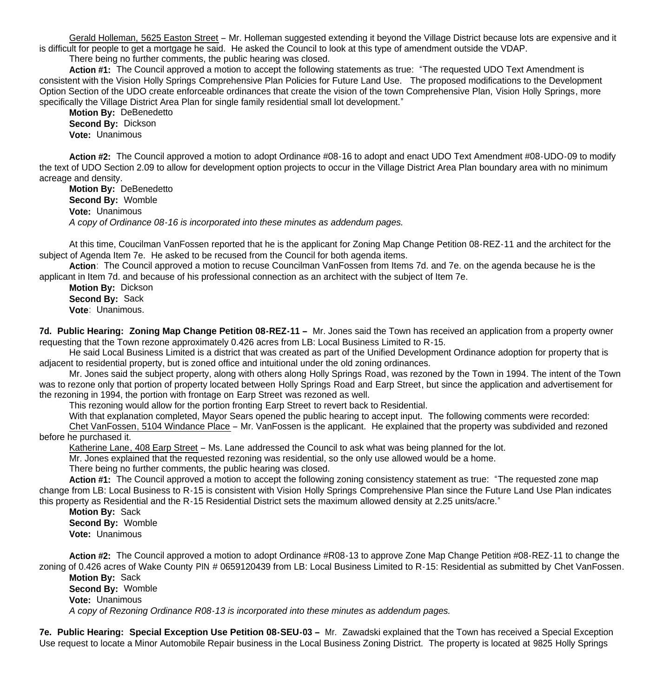Gerald Holleman, 5625 Easton Street – Mr. Holleman suggested extending it beyond the Village District because lots are expensive and it is difficult for people to get a mortgage he said. He asked the Council to look at this type of amendment outside the VDAP.

There being no further comments, the public hearing was closed.

**Action #1:** The Council approved a motion to accept the following statements as true: "The requested UDO Text Amendment is consistent with the Vision Holly Springs Comprehensive Plan Policies for Future Land Use. The proposed modifications to the Development Option Section of the UDO create enforceable ordinances that create the vision of the town Comprehensive Plan, Vision Holly Springs, more specifically the Village District Area Plan for single family residential small lot development."

**Motion By: DeBenedetto Second By:** Dickson  **Vote:** Unanimous

**Action #2:** The Council approved a motion to adopt Ordinance #08-16 to adopt and enact UDO Text Amendment #08-UDO-09 to modify the text of UDO Section 2.09 to allow for development option projects to occur in the Village District Area Plan boundary area with no minimum acreage and density.

**Motion By: DeBenedetto Second By:** Womble  **Vote:** Unanimous *A copy of Ordinance 08-16 is incorporated into these minutes as addendum pages.*

At this time, Coucilman VanFossen reported that he is the applicant for Zoning Map Change Petition 08-REZ-11 and the architect for the subject of Agenda Item 7e. He asked to be recused from the Council for both agenda items.

 **Action**: The Council approved a motion to recuse Councilman VanFossen from Items 7d. and 7e. on the agenda because he is the applicant in Item 7d. and because of his professional connection as an architect with the subject of Item 7e.

 **Motion By:** Dickson **Second By:** Sack **Vote**: Unanimous.

**7d. Public Hearing: Zoning Map Change Petition 08-REZ-11 –** Mr. Jones said the Town has received an application from a property owner requesting that the Town rezone approximately 0.426 acres from LB: Local Business Limited to R-15.

 He said Local Business Limited is a district that was created as part of the Unified Development Ordinance adoption for property that is adjacent to residential property, but is zoned office and intuitional under the old zoning ordinances.

 Mr. Jones said the subject property, along with others along Holly Springs Road, was rezoned by the Town in 1994. The intent of the Town was to rezone only that portion of property located between Holly Springs Road and Earp Street, but since the application and advertisement for the rezoning in 1994, the portion with frontage on Earp Street was rezoned as well.

This rezoning would allow for the portion fronting Earp Street to revert back to Residential.

With that explanation completed, Mayor Sears opened the public hearing to accept input. The following comments were recorded:

Chet VanFossen, 5104 Windance Place – Mr. VanFossen is the applicant. He explained that the property was subdivided and rezoned before he purchased it.

Katherine Lane, 408 Earp Street – Ms. Lane addressed the Council to ask what was being planned for the lot.

Mr. Jones explained that the requested rezoning was residential, so the only use allowed would be a home.

There being no further comments, the public hearing was closed.

**Action #1:** The Council approved a motion to accept the following zoning consistency statement as true: "The requested zone map change from LB: Local Business to R-15 is consistent with Vision Holly Springs Comprehensive Plan since the Future Land Use Plan indicates this property as Residential and the R-15 Residential District sets the maximum allowed density at 2.25 units/acre."

**Motion By:** Sack **Second By:** Womble  **Vote:** Unanimous

**Action #2:** The Council approved a motion to adopt Ordinance #R08-13 to approve Zone Map Change Petition #08-REZ-11 to change the zoning of 0.426 acres of Wake County PIN # 0659120439 from LB: Local Business Limited to R-15: Residential as submitted by Chet VanFossen. **Motion By:** Sack

**Second By:** Womble  **Vote:** Unanimous *A copy of Rezoning Ordinance R08-13 is incorporated into these minutes as addendum pages.*

**7e. Public Hearing: Special Exception Use Petition 08-SEU-03 –** Mr. Zawadski explained that the Town has received a Special Exception Use request to locate a Minor Automobile Repair business in the Local Business Zoning District. The property is located at 9825 Holly Springs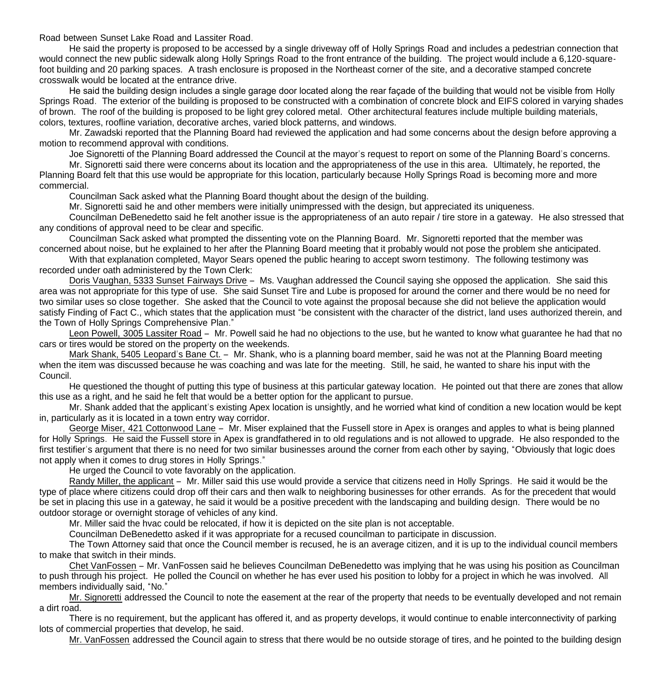Road between Sunset Lake Road and Lassiter Road.

He said the property is proposed to be accessed by a single driveway off of Holly Springs Road and includes a pedestrian connection that would connect the new public sidewalk along Holly Springs Road to the front entrance of the building. The project would include a 6,120-squarefoot building and 20 parking spaces. A trash enclosure is proposed in the Northeast corner of the site, and a decorative stamped concrete crosswalk would be located at the entrance drive.

 He said the building design includes a single garage door located along the rear façade of the building that would not be visible from Holly Springs Road. The exterior of the building is proposed to be constructed with a combination of concrete block and EIFS colored in varying shades of brown. The roof of the building is proposed to be light grey colored metal. Other architectural features include multiple building materials, colors, textures, roofline variation, decorative arches, varied block patterns, and windows.

 Mr. Zawadski reported that the Planning Board had reviewed the application and had some concerns about the design before approving a motion to recommend approval with conditions.

Joe Signoretti of the Planning Board addressed the Council at the mayor's request to report on some of the Planning Board's concerns.

Mr. Signoretti said there were concerns about its location and the appropriateness of the use in this area. Ultimately, he reported, the Planning Board felt that this use would be appropriate for this location, particularly because Holly Springs Road is becoming more and more commercial.

Councilman Sack asked what the Planning Board thought about the design of the building.

Mr. Signoretti said he and other members were initially unimpressed with the design, but appreciated its uniqueness.

Councilman DeBenedetto said he felt another issue is the appropriateness of an auto repair / tire store in a gateway. He also stressed that any conditions of approval need to be clear and specific.

Councilman Sack asked what prompted the dissenting vote on the Planning Board. Mr. Signoretti reported that the member was concerned about noise, but he explained to her after the Planning Board meeting that it probably would not pose the problem she anticipated.

With that explanation completed. Mayor Sears opened the public hearing to accept sworn testimony. The following testimony was recorded under oath administered by the Town Clerk:

 Doris Vaughan, 5333 Sunset Fairways Drive – Ms. Vaughan addressed the Council saying she opposed the application. She said this area was not appropriate for this type of use. She said Sunset Tire and Lube is proposed for around the corner and there would be no need for two similar uses so close together. She asked that the Council to vote against the proposal because she did not believe the application would satisfy Finding of Fact C., which states that the application must "be consistent with the character of the district, land uses authorized therein, and the Town of Holly Springs Comprehensive Plan."

Leon Powell, 3005 Lassiter Road – Mr. Powell said he had no objections to the use, but he wanted to know what guarantee he had that no cars or tires would be stored on the property on the weekends.

Mark Shank, 5405 Leopard's Bane Ct. – Mr. Shank, who is a planning board member, said he was not at the Planning Board meeting when the item was discussed because he was coaching and was late for the meeting. Still, he said, he wanted to share his input with the Council.

He questioned the thought of putting this type of business at this particular gateway location. He pointed out that there are zones that allow this use as a right, and he said he felt that would be a better option for the applicant to pursue.

Mr. Shank added that the applicant's existing Apex location is unsightly, and he worried what kind of condition a new location would be kept in, particularly as it is located in a town entry way corridor.

George Miser, 421 Cottonwood Lane – Mr. Miser explained that the Fussell store in Apex is oranges and apples to what is being planned for Holly Springs. He said the Fussell store in Apex is grandfathered in to old regulations and is not allowed to upgrade. He also responded to the first testifier's argument that there is no need for two similar businesses around the corner from each other by saying, "Obviously that logic does not apply when it comes to drug stores in Holly Springs."

He urged the Council to vote favorably on the application.

Randy Miller, the applicant – Mr. Miller said this use would provide a service that citizens need in Holly Springs. He said it would be the type of place where citizens could drop off their cars and then walk to neighboring businesses for other errands. As for the precedent that would be set in placing this use in a gateway, he said it would be a positive precedent with the landscaping and building design. There would be no outdoor storage or overnight storage of vehicles of any kind.

Mr. Miller said the hvac could be relocated, if how it is depicted on the site plan is not acceptable.

Councilman DeBenedetto asked if it was appropriate for a recused councilman to participate in discussion.

The Town Attorney said that once the Council member is recused, he is an average citizen, and it is up to the individual council members to make that switch in their minds.

Chet VanFossen – Mr. VanFossen said he believes Councilman DeBenedetto was implying that he was using his position as Councilman to push through his project. He polled the Council on whether he has ever used his position to lobby for a project in which he was involved. All members individually said, "No."

Mr. Signoretti addressed the Council to note the easement at the rear of the property that needs to be eventually developed and not remain a dirt road.

There is no requirement, but the applicant has offered it, and as property develops, it would continue to enable interconnectivity of parking lots of commercial properties that develop, he said.

Mr. VanFossen addressed the Council again to stress that there would be no outside storage of tires, and he pointed to the building design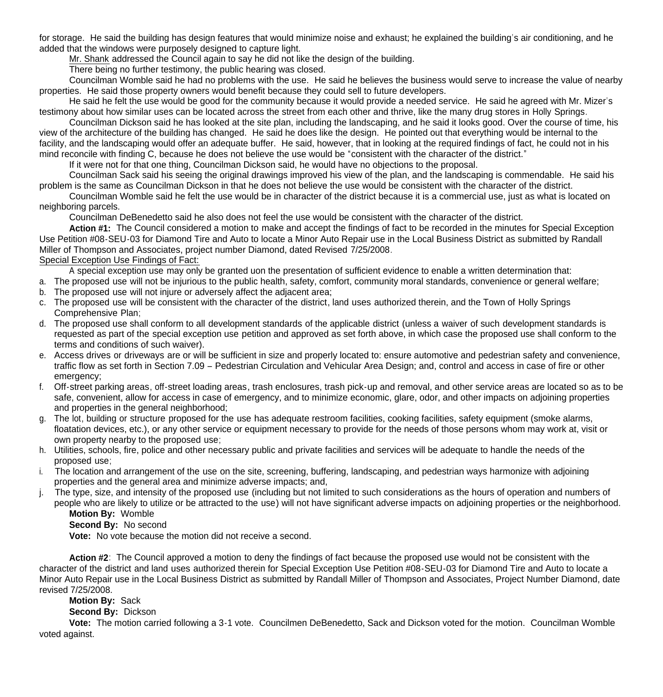for storage. He said the building has design features that would minimize noise and exhaust; he explained the building's air conditioning, and he added that the windows were purposely designed to capture light.

Mr. Shank addressed the Council again to say he did not like the design of the building.

There being no further testimony, the public hearing was closed.

Councilman Womble said he had no problems with the use. He said he believes the business would serve to increase the value of nearby properties. He said those property owners would benefit because they could sell to future developers.

He said he felt the use would be good for the community because it would provide a needed service. He said he agreed with Mr. Mizer's testimony about how similar uses can be located across the street from each other and thrive, like the many drug stores in Holly Springs.

Councilman Dickson said he has looked at the site plan, including the landscaping, and he said it looks good. Over the course of time, his view of the architecture of the building has changed. He said he does like the design. He pointed out that everything would be internal to the facility, and the landscaping would offer an adequate buffer. He said, however, that in looking at the required findings of fact, he could not in his mind reconcile with finding C, because he does not believe the use would be "consistent with the character of the district."

If it were not for that one thing, Councilman Dickson said, he would have no objections to the proposal.

Councilman Sack said his seeing the original drawings improved his view of the plan, and the landscaping is commendable. He said his problem is the same as Councilman Dickson in that he does not believe the use would be consistent with the character of the district.

Councilman Womble said he felt the use would be in character of the district because it is a commercial use, just as what is located on neighboring parcels.

Councilman DeBenedetto said he also does not feel the use would be consistent with the character of the district.

**Action #1:** The Council considered a motion to make and accept the findings of fact to be recorded in the minutes for Special Exception Use Petition #08-SEU-03 for Diamond Tire and Auto to locate a Minor Auto Repair use in the Local Business District as submitted by Randall Miller of Thompson and Associates, project number Diamond, dated Revised 7/25/2008.

Special Exception Use Findings of Fact:

A special exception use may only be granted uon the presentation of sufficient evidence to enable a written determination that:

- a. The proposed use will not be injurious to the public health, safety, comfort, community moral standards, convenience or general welfare;
- b. The proposed use will not injure or adversely affect the adjacent area;
- c. The proposed use will be consistent with the character of the district, land uses authorized therein, and the Town of Holly Springs Comprehensive Plan;
- d. The proposed use shall conform to all development standards of the applicable district (unless a waiver of such development standards is requested as part of the special exception use petition and approved as set forth above, in which case the proposed use shall conform to the terms and conditions of such waiver).
- e. Access drives or driveways are or will be sufficient in size and properly located to: ensure automotive and pedestrian safety and convenience, traffic flow as set forth in Section 7.09 – Pedestrian Circulation and Vehicular Area Design; and, control and access in case of fire or other emergency:
- f. Off-street parking areas, off-street loading areas, trash enclosures, trash pick-up and removal, and other service areas are located so as to be safe, convenient, allow for access in case of emergency, and to minimize economic, glare, odor, and other impacts on adjoining properties and properties in the general neighborhood;
- g. The lot, building or structure proposed for the use has adequate restroom facilities, cooking facilities, safety equipment (smoke alarms, floatation devices, etc.), or any other service or equipment necessary to provide for the needs of those persons whom may work at, visit or own property nearby to the proposed use;
- h. Utilities, schools, fire, police and other necessary public and private facilities and services will be adequate to handle the needs of the proposed use;
- i. The location and arrangement of the use on the site, screening, buffering, landscaping, and pedestrian ways harmonize with adjoining properties and the general area and minimize adverse impacts; and,
- j. The type, size, and intensity of the proposed use (including but not limited to such considerations as the hours of operation and numbers of people who are likely to utilize or be attracted to the use) will not have significant adverse impacts on adjoining properties or the neighborhood.

**Motion By:** Womble

**Second By:** No second

**Vote:** No vote because the motion did not receive a second.

 **Action #2**: The Council approved a motion to deny the findings of fact because the proposed use would not be consistent with the character of the district and land uses authorized therein for Special Exception Use Petition #08-SEU-03 for Diamond Tire and Auto to locate a Minor Auto Repair use in the Local Business District as submitted by Randall Miller of Thompson and Associates, Project Number Diamond, date revised 7/25/2008.

**Motion By:** Sack

**Second By:** Dickson

 **Vote:** The motion carried following a 3-1 vote. Councilmen DeBenedetto, Sack and Dickson voted for the motion. Councilman Womble voted against.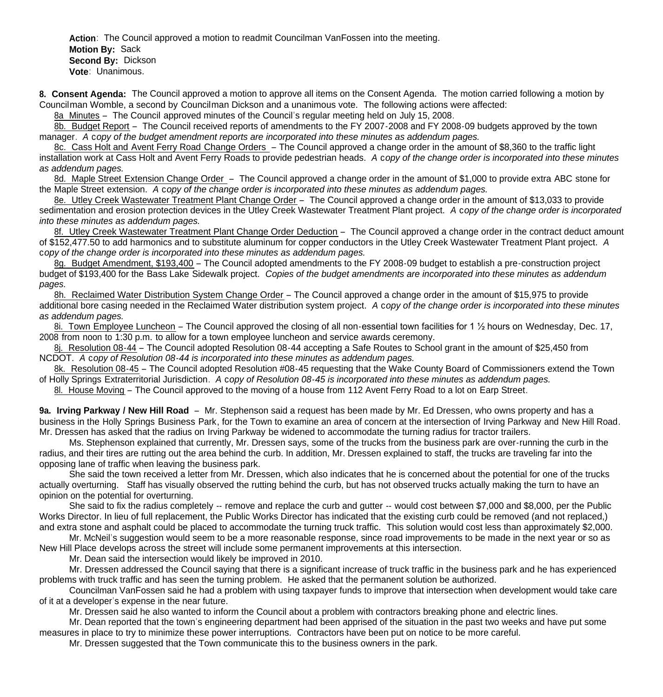**Action**: The Council approved a motion to readmit Councilman VanFossen into the meeting.  **Motion By:** Sack **Second By:** Dickson **Vote**: Unanimous.

**8. Consent Agenda:** The Council approved a motion to approve all items on the Consent Agenda. The motion carried following a motion by Councilman Womble, a second by Councilman Dickson and a unanimous vote. The following actions were affected:

8a Minutes – The Council approved minutes of the Council's regular meeting held on July 15, 2008.

8b. Budget Report – The Council received reports of amendments to the FY 2007-2008 and FY 2008-09 budgets approved by the town manager. *A* c*opy of the budget amendment reports are incorporated into these minutes as addendum pages.*

8c. Cass Holt and Avent Ferry Road Change Orders – The Council approved a change order in the amount of \$8,360 to the traffic light installation work at Cass Holt and Avent Ferry Roads to provide pedestrian heads. *A* c*opy of the change order is incorporated into these minutes as addendum pages.*

8d. Maple Street Extension Change Order – The Council approved a change order in the amount of \$1,000 to provide extra ABC stone for the Maple Street extension. *A* c*opy of the change order is incorporated into these minutes as addendum pages.*

8e. Utley Creek Wastewater Treatment Plant Change Order – The Council approved a change order in the amount of \$13,033 to provide sedimentation and erosion protection devices in the Utley Creek Wastewater Treatment Plant project. *A* c*opy of the change order is incorporated into these minutes as addendum pages.*

8f. Utley Creek Wastewater Treatment Plant Change Order Deduction – The Council approved a change order in the contract deduct amount of \$152,477.50 to add harmonics and to substitute aluminum for copper conductors in the Utley Creek Wastewater Treatment Plant project. *A*  c*opy of the change order is incorporated into these minutes as addendum pages.*

8g. Budget Amendment, \$193,400 – The Council adopted amendments to the FY 2008-09 budget to establish a pre-construction project budget of \$193,400 for the Bass Lake Sidewalk project. *Copies of the budget amendments are incorporated into these minutes as addendum pages.*

8h. Reclaimed Water Distribution System Change Order – The Council approved a change order in the amount of \$15,975 to provide additional bore casing needed in the Reclaimed Water distribution system project. *A* c*opy of the change order is incorporated into these minutes as addendum pages.*

8i. Town Employee Luncheon – The Council approved the closing of all non-essential town facilities for 1 ½ hours on Wednesday, Dec. 17, 2008 from noon to 1:30 p.m. to allow for a town employee luncheon and service awards ceremony.

8j. Resolution 08-44 – The Council adopted Resolution 08-44 accepting a Safe Routes to School grant in the amount of \$25,450 from NCDOT. *A* c*opy of Resolution 08-44 is incorporated into these minutes as addendum pages.*

8k. Resolution 08-45 – The Council adopted Resolution #08-45 requesting that the Wake County Board of Commissioners extend the Town of Holly Springs Extraterritorial Jurisdiction. *A* c*opy of Resolution 08-45 is incorporated into these minutes as addendum pages.*

8l. House Moving – The Council approved to the moving of a house from 112 Avent Ferry Road to a lot on Earp Street.

**9a. Irving Parkway / New Hill Road** – Mr. Stephenson said a request has been made by Mr. Ed Dressen, who owns property and has a business in the Holly Springs Business Park, for the Town to examine an area of concern at the intersection of Irving Parkway and New Hill Road. Mr. Dressen has asked that the radius on Irving Parkway be widened to accommodate the turning radius for tractor trailers.

 Ms. Stephenson explained that currently, Mr. Dressen says, some of the trucks from the business park are over-running the curb in the radius, and their tires are rutting out the area behind the curb. In addition, Mr. Dressen explained to staff, the trucks are traveling far into the opposing lane of traffic when leaving the business park.

 She said the town received a letter from Mr. Dressen, which also indicates that he is concerned about the potential for one of the trucks actually overturning. Staff has visually observed the rutting behind the curb, but has not observed trucks actually making the turn to have an opinion on the potential for overturning.

 She said to fix the radius completely -- remove and replace the curb and gutter -- would cost between \$7,000 and \$8,000, per the Public Works Director. In lieu of full replacement, the Public Works Director has indicated that the existing curb could be removed (and not replaced,) and extra stone and asphalt could be placed to accommodate the turning truck traffic. This solution would cost less than approximately \$2,000.

 Mr. McNeil's suggestion would seem to be a more reasonable response, since road improvements to be made in the next year or so as New Hill Place develops across the street will include some permanent improvements at this intersection.

Mr. Dean said the intersection would likely be improved in 2010.

Mr. Dressen addressed the Council saying that there is a significant increase of truck traffic in the business park and he has experienced problems with truck traffic and has seen the turning problem. He asked that the permanent solution be authorized.

Councilman VanFossen said he had a problem with using taxpayer funds to improve that intersection when development would take care of it at a developer's expense in the near future.

Mr. Dressen said he also wanted to inform the Council about a problem with contractors breaking phone and electric lines.

Mr. Dean reported that the town's engineering department had been apprised of the situation in the past two weeks and have put some measures in place to try to minimize these power interruptions. Contractors have been put on notice to be more careful.

Mr. Dressen suggested that the Town communicate this to the business owners in the park.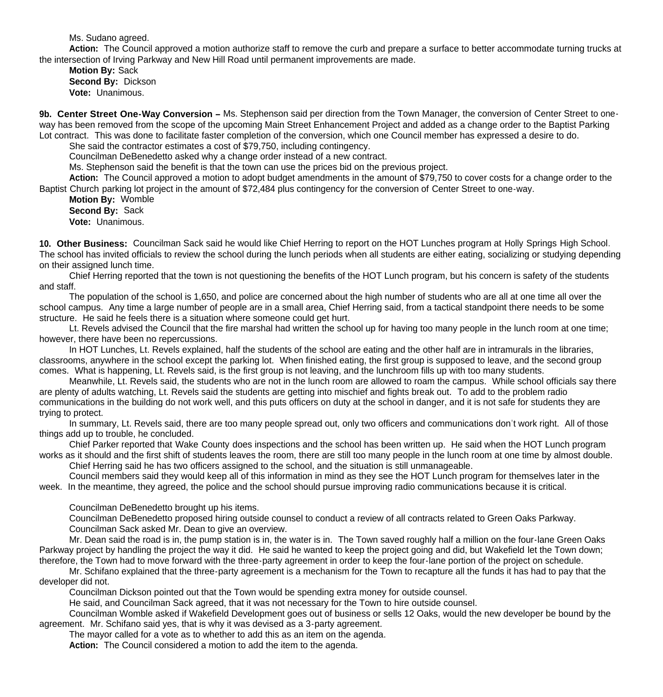Ms. Sudano agreed.

**Action:** The Council approved a motion authorize staff to remove the curb and prepare a surface to better accommodate turning trucks at the intersection of Irving Parkway and New Hill Road until permanent improvements are made.

**Motion By:** Sack **Second By:** Dickson **Vote:** Unanimous.

9b. Center Street One-Way Conversion – Ms. Stephenson said per direction from the Town Manager, the conversion of Center Street to oneway has been removed from the scope of the upcoming Main Street Enhancement Project and added as a change order to the Baptist Parking Lot contract. This was done to facilitate faster completion of the conversion, which one Council member has expressed a desire to do.

She said the contractor estimates a cost of \$79,750, including contingency.

Councilman DeBenedetto asked why a change order instead of a new contract.

Ms. Stephenson said the benefit is that the town can use the prices bid on the previous project.

**Action:** The Council approved a motion to adopt budget amendments in the amount of \$79,750 to cover costs for a change order to the Baptist Church parking lot project in the amount of \$72,484 plus contingency for the conversion of Center Street to one-way.

**Motion By:** Womble **Second By:** Sack **Vote:** Unanimous.

**10. Other Business:** Councilman Sack said he would like Chief Herring to report on the HOT Lunches program at Holly Springs High School. The school has invited officials to review the school during the lunch periods when all students are either eating, socializing or studying depending on their assigned lunch time.

 Chief Herring reported that the town is not questioning the benefits of the HOT Lunch program, but his concern is safety of the students and staff.

 The population of the school is 1,650, and police are concerned about the high number of students who are all at one time all over the school campus. Any time a large number of people are in a small area, Chief Herring said, from a tactical standpoint there needs to be some structure. He said he feels there is a situation where someone could get hurt.

 Lt. Revels advised the Council that the fire marshal had written the school up for having too many people in the lunch room at one time; however, there have been no repercussions.

 In HOT Lunches, Lt. Revels explained, half the students of the school are eating and the other half are in intramurals in the libraries, classrooms, anywhere in the school except the parking lot. When finished eating, the first group is supposed to leave, and the second group comes. What is happening, Lt. Revels said, is the first group is not leaving, and the lunchroom fills up with too many students.

 Meanwhile, Lt. Revels said, the students who are not in the lunch room are allowed to roam the campus. While school officials say there are plenty of adults watching, Lt. Revels said the students are getting into mischief and fights break out. To add to the problem radio communications in the building do not work well, and this puts officers on duty at the school in danger, and it is not safe for students they are trying to protect.

 In summary, Lt. Revels said, there are too many people spread out, only two officers and communications don't work right. All of those things add up to trouble, he concluded.

 Chief Parker reported that Wake County does inspections and the school has been written up. He said when the HOT Lunch program works as it should and the first shift of students leaves the room, there are still too many people in the lunch room at one time by almost double.

Chief Herring said he has two officers assigned to the school, and the situation is still unmanageable.

 Council members said they would keep all of this information in mind as they see the HOT Lunch program for themselves later in the week. In the meantime, they agreed, the police and the school should pursue improving radio communications because it is critical.

Councilman DeBenedetto brought up his items.

Councilman DeBenedetto proposed hiring outside counsel to conduct a review of all contracts related to Green Oaks Parkway. Councilman Sack asked Mr. Dean to give an overview.

Mr. Dean said the road is in, the pump station is in, the water is in. The Town saved roughly half a million on the four-lane Green Oaks Parkway project by handling the project the way it did. He said he wanted to keep the project going and did, but Wakefield let the Town down; therefore, the Town had to move forward with the three-party agreement in order to keep the four-lane portion of the project on schedule.

Mr. Schifano explained that the three-party agreement is a mechanism for the Town to recapture all the funds it has had to pay that the developer did not.

Councilman Dickson pointed out that the Town would be spending extra money for outside counsel.

He said, and Councilman Sack agreed, that it was not necessary for the Town to hire outside counsel.

 Councilman Womble asked if Wakefield Development goes out of business or sells 12 Oaks, would the new developer be bound by the agreement. Mr. Schifano said yes, that is why it was devised as a 3-party agreement.

The mayor called for a vote as to whether to add this as an item on the agenda.

**Action:** The Council considered a motion to add the item to the agenda.